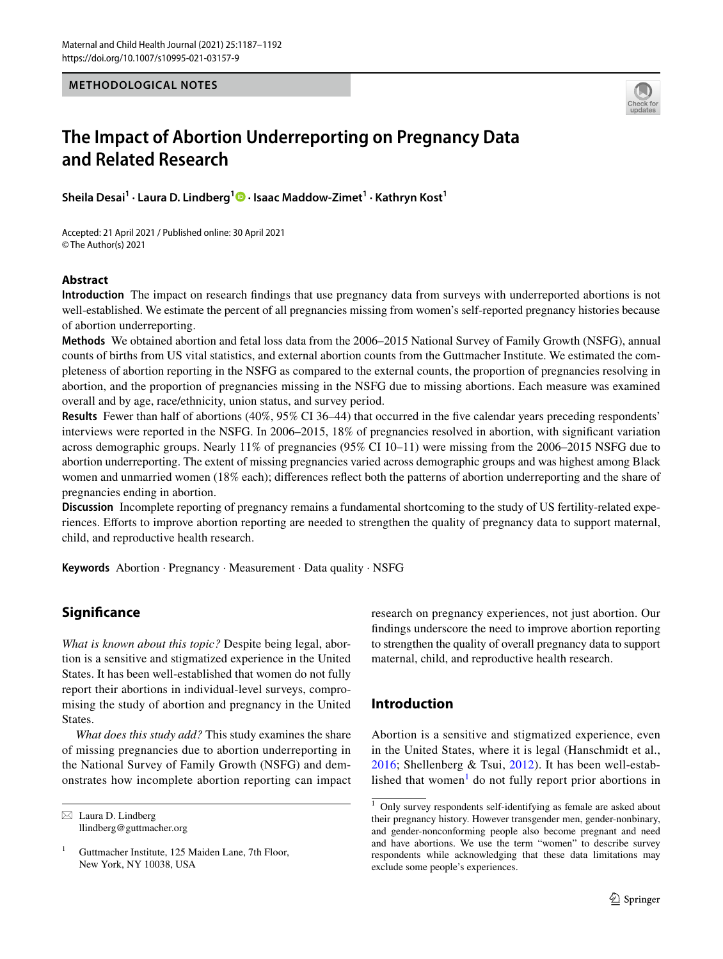### **METHODOLOGICAL NOTES**



# **The Impact of Abortion Underreporting on Pregnancy Data and Related Research**

**Sheila Desai1 · Laura D. Lindberg1 · Isaac Maddow‑Zimet1 · Kathryn Kost1**

Accepted: 21 April 2021 / Published online: 30 April 2021 © The Author(s) 2021

## **Abstract**

**Introduction** The impact on research fndings that use pregnancy data from surveys with underreported abortions is not well-established. We estimate the percent of all pregnancies missing from women's self-reported pregnancy histories because of abortion underreporting.

**Methods** We obtained abortion and fetal loss data from the 2006–2015 National Survey of Family Growth (NSFG), annual counts of births from US vital statistics, and external abortion counts from the Guttmacher Institute. We estimated the completeness of abortion reporting in the NSFG as compared to the external counts, the proportion of pregnancies resolving in abortion, and the proportion of pregnancies missing in the NSFG due to missing abortions. Each measure was examined overall and by age, race/ethnicity, union status, and survey period.

**Results** Fewer than half of abortions (40%, 95% CI 36–44) that occurred in the fve calendar years preceding respondents' interviews were reported in the NSFG. In 2006–2015, 18% of pregnancies resolved in abortion, with signifcant variation across demographic groups. Nearly 11% of pregnancies (95% CI 10–11) were missing from the 2006–2015 NSFG due to abortion underreporting. The extent of missing pregnancies varied across demographic groups and was highest among Black women and unmarried women (18% each); differences reflect both the patterns of abortion underreporting and the share of pregnancies ending in abortion.

**Discussion** Incomplete reporting of pregnancy remains a fundamental shortcoming to the study of US fertility-related experiences. Eforts to improve abortion reporting are needed to strengthen the quality of pregnancy data to support maternal, child, and reproductive health research.

**Keywords** Abortion · Pregnancy · Measurement · Data quality · NSFG

# **Signifcance**

*What is known about this topic?* Despite being legal, abortion is a sensitive and stigmatized experience in the United States. It has been well-established that women do not fully report their abortions in individual-level surveys, compromising the study of abortion and pregnancy in the United States.

*What does this study add?* This study examines the share of missing pregnancies due to abortion underreporting in the National Survey of Family Growth (NSFG) and demonstrates how incomplete abortion reporting can impact

 $\boxtimes$  Laura D. Lindberg llindberg@guttmacher.org research on pregnancy experiences, not just abortion. Our fndings underscore the need to improve abortion reporting to strengthen the quality of overall pregnancy data to support maternal, child, and reproductive health research.

# **Introduction**

Abortion is a sensitive and stigmatized experience, even in the United States, where it is legal (Hanschmidt et al., [2016;](#page-5-0) Shellenberg & Tsui, [2012](#page-5-1)). It has been well-estab-lished that women<sup>[1](#page-0-0)</sup> do not fully report prior abortions in

<sup>&</sup>lt;sup>1</sup> Guttmacher Institute, 125 Maiden Lane, 7th Floor, New York, NY 10038, USA

<span id="page-0-0"></span> $1$  Only survey respondents self-identifying as female are asked about their pregnancy history. However transgender men, gender-nonbinary, and gender-nonconforming people also become pregnant and need and have abortions. We use the term "women" to describe survey respondents while acknowledging that these data limitations may exclude some people's experiences.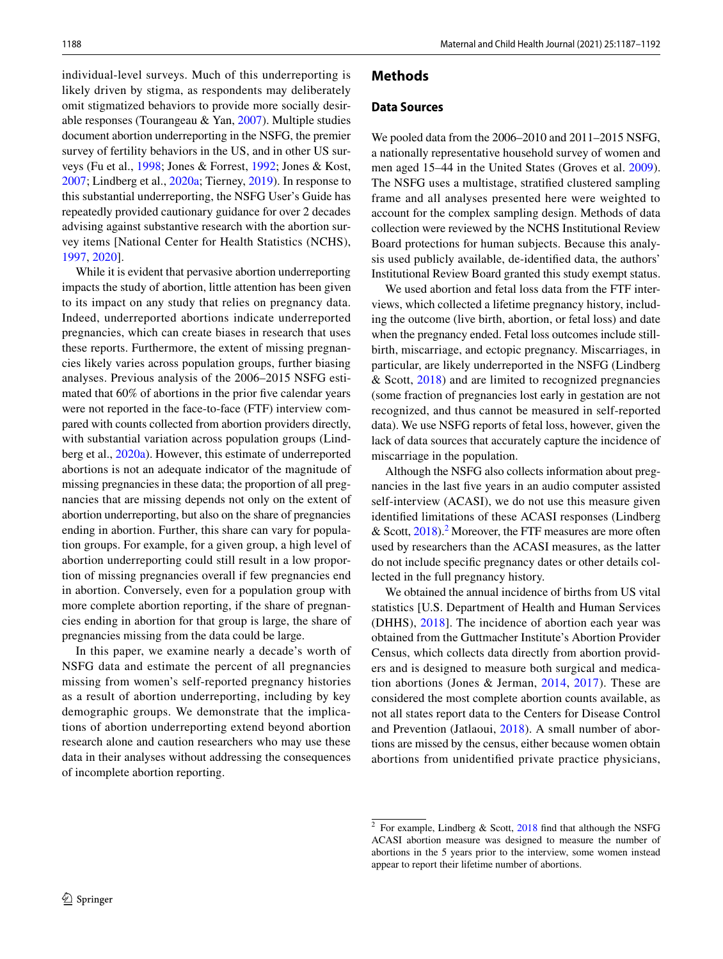individual-level surveys. Much of this underreporting is likely driven by stigma, as respondents may deliberately omit stigmatized behaviors to provide more socially desirable responses (Tourangeau & Yan, [2007](#page-5-2)). Multiple studies document abortion underreporting in the NSFG, the premier survey of fertility behaviors in the US, and in other US surveys (Fu et al., [1998;](#page-5-3) Jones & Forrest, [1992](#page-5-4); Jones & Kost, [2007](#page-5-5); Lindberg et al., [2020a](#page-5-6); Tierney, [2019](#page-5-7)). In response to this substantial underreporting, the NSFG User's Guide has repeatedly provided cautionary guidance for over 2 decades advising against substantive research with the abortion survey items [National Center for Health Statistics (NCHS), [1997](#page-5-8), [2020](#page-5-9)].

While it is evident that pervasive abortion underreporting impacts the study of abortion, little attention has been given to its impact on any study that relies on pregnancy data. Indeed, underreported abortions indicate underreported pregnancies, which can create biases in research that uses these reports. Furthermore, the extent of missing pregnancies likely varies across population groups, further biasing analyses. Previous analysis of the 2006–2015 NSFG estimated that 60% of abortions in the prior five calendar years were not reported in the face-to-face (FTF) interview compared with counts collected from abortion providers directly, with substantial variation across population groups (Lindberg et al., [2020a\)](#page-5-6). However, this estimate of underreported abortions is not an adequate indicator of the magnitude of missing pregnancies in these data; the proportion of all pregnancies that are missing depends not only on the extent of abortion underreporting, but also on the share of pregnancies ending in abortion. Further, this share can vary for population groups. For example, for a given group, a high level of abortion underreporting could still result in a low proportion of missing pregnancies overall if few pregnancies end in abortion. Conversely, even for a population group with more complete abortion reporting, if the share of pregnancies ending in abortion for that group is large, the share of pregnancies missing from the data could be large.

In this paper, we examine nearly a decade's worth of NSFG data and estimate the percent of all pregnancies missing from women's self-reported pregnancy histories as a result of abortion underreporting, including by key demographic groups. We demonstrate that the implications of abortion underreporting extend beyond abortion research alone and caution researchers who may use these data in their analyses without addressing the consequences of incomplete abortion reporting.

#### **Methods**

#### **Data Sources**

We pooled data from the 2006–2010 and 2011–2015 NSFG, a nationally representative household survey of women and men aged 15–44 in the United States (Groves et al. [2009](#page-5-10)). The NSFG uses a multistage, stratifed clustered sampling frame and all analyses presented here were weighted to account for the complex sampling design. Methods of data collection were reviewed by the NCHS Institutional Review Board protections for human subjects. Because this analysis used publicly available, de-identifed data, the authors' Institutional Review Board granted this study exempt status.

We used abortion and fetal loss data from the FTF interviews, which collected a lifetime pregnancy history, including the outcome (live birth, abortion, or fetal loss) and date when the pregnancy ended. Fetal loss outcomes include stillbirth, miscarriage, and ectopic pregnancy. Miscarriages, in particular, are likely underreported in the NSFG (Lindberg & Scott, [2018](#page-5-11)) and are limited to recognized pregnancies (some fraction of pregnancies lost early in gestation are not recognized, and thus cannot be measured in self-reported data). We use NSFG reports of fetal loss, however, given the lack of data sources that accurately capture the incidence of miscarriage in the population.

Although the NSFG also collects information about pregnancies in the last fve years in an audio computer assisted self-interview (ACASI), we do not use this measure given identifed limitations of these ACASI responses (Lindberg & Scott,  $2018$ ).<sup>2</sup> Moreover, the FTF measures are more often used by researchers than the ACASI measures, as the latter do not include specifc pregnancy dates or other details collected in the full pregnancy history.

We obtained the annual incidence of births from US vital statistics [U.S. Department of Health and Human Services (DHHS), [2018\]](#page-5-12). The incidence of abortion each year was obtained from the Guttmacher Institute's Abortion Provider Census, which collects data directly from abortion providers and is designed to measure both surgical and medication abortions (Jones & Jerman, [2014,](#page-5-13) [2017\)](#page-5-14). These are considered the most complete abortion counts available, as not all states report data to the Centers for Disease Control and Prevention (Jatlaoui, [2018\)](#page-5-15). A small number of abortions are missed by the census, either because women obtain abortions from unidentifed private practice physicians,

<span id="page-1-0"></span><sup>2</sup> For example, Lindberg & Scott, [2018](#page-5-11) fnd that although the NSFG ACASI abortion measure was designed to measure the number of abortions in the 5 years prior to the interview, some women instead appear to report their lifetime number of abortions.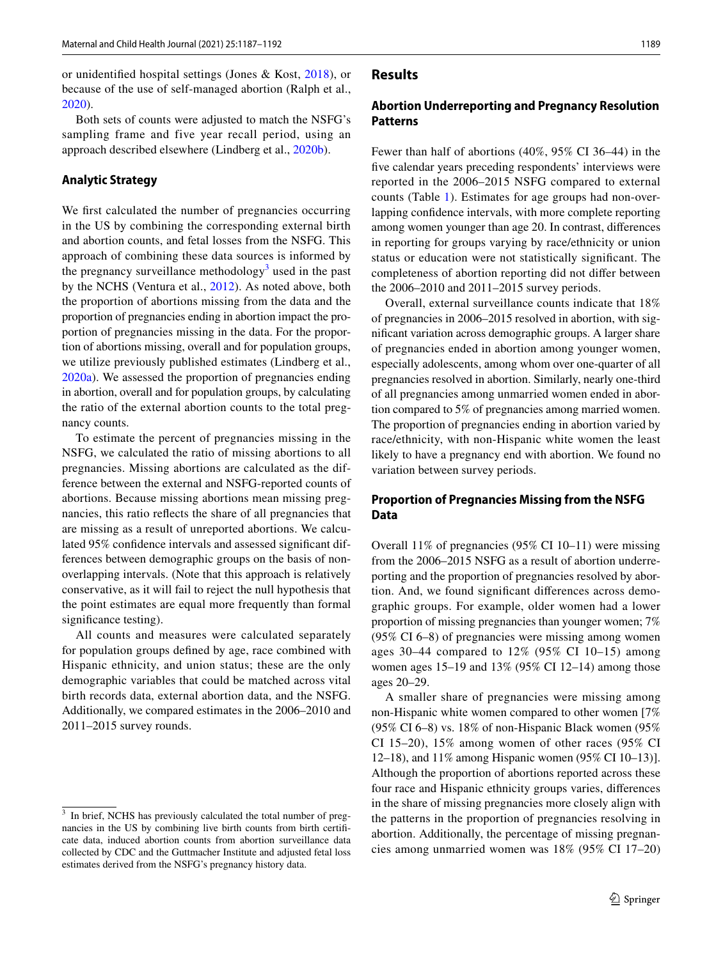or unidentifed hospital settings (Jones & Kost, [2018\)](#page-5-16), or because of the use of self-managed abortion (Ralph et al., [2020](#page-5-17)).

Both sets of counts were adjusted to match the NSFG's sampling frame and five year recall period, using an approach described elsewhere (Lindberg et al., [2020b\)](#page-5-18).

#### **Analytic Strategy**

We first calculated the number of pregnancies occurring in the US by combining the corresponding external birth and abortion counts, and fetal losses from the NSFG. This approach of combining these data sources is informed by the pregnancy surveillance methodology<sup>[3](#page-2-0)</sup> used in the past by the NCHS (Ventura et al., [2012](#page-5-19)). As noted above, both the proportion of abortions missing from the data and the proportion of pregnancies ending in abortion impact the proportion of pregnancies missing in the data. For the proportion of abortions missing, overall and for population groups, we utilize previously published estimates (Lindberg et al., [2020a\)](#page-5-6). We assessed the proportion of pregnancies ending in abortion, overall and for population groups, by calculating the ratio of the external abortion counts to the total pregnancy counts.

To estimate the percent of pregnancies missing in the NSFG, we calculated the ratio of missing abortions to all pregnancies. Missing abortions are calculated as the difference between the external and NSFG-reported counts of abortions. Because missing abortions mean missing pregnancies, this ratio refects the share of all pregnancies that are missing as a result of unreported abortions. We calculated 95% confdence intervals and assessed signifcant differences between demographic groups on the basis of nonoverlapping intervals. (Note that this approach is relatively conservative, as it will fail to reject the null hypothesis that the point estimates are equal more frequently than formal significance testing).

All counts and measures were calculated separately for population groups defned by age, race combined with Hispanic ethnicity, and union status; these are the only demographic variables that could be matched across vital birth records data, external abortion data, and the NSFG. Additionally, we compared estimates in the 2006–2010 and 2011–2015 survey rounds.

#### **Results**

## **Abortion Underreporting and Pregnancy Resolution Patterns**

Fewer than half of abortions (40%, 95% CI 36–44) in the fve calendar years preceding respondents' interviews were reported in the 2006–2015 NSFG compared to external counts (Table [1\)](#page-3-0). Estimates for age groups had non-overlapping confdence intervals, with more complete reporting among women younger than age 20. In contrast, diferences in reporting for groups varying by race/ethnicity or union status or education were not statistically signifcant. The completeness of abortion reporting did not difer between the 2006–2010 and 2011–2015 survey periods.

Overall, external surveillance counts indicate that 18% of pregnancies in 2006–2015 resolved in abortion, with signifcant variation across demographic groups. A larger share of pregnancies ended in abortion among younger women, especially adolescents, among whom over one-quarter of all pregnancies resolved in abortion. Similarly, nearly one-third of all pregnancies among unmarried women ended in abortion compared to 5% of pregnancies among married women. The proportion of pregnancies ending in abortion varied by race/ethnicity, with non-Hispanic white women the least likely to have a pregnancy end with abortion. We found no variation between survey periods.

## **Proportion of Pregnancies Missing from the NSFG Data**

Overall 11% of pregnancies (95% CI 10–11) were missing from the 2006–2015 NSFG as a result of abortion underreporting and the proportion of pregnancies resolved by abortion. And, we found signifcant diferences across demographic groups. For example, older women had a lower proportion of missing pregnancies than younger women; 7% (95% CI 6–8) of pregnancies were missing among women ages 30–44 compared to 12% (95% CI 10–15) among women ages 15–19 and 13% (95% CI 12–14) among those ages 20–29.

A smaller share of pregnancies were missing among non-Hispanic white women compared to other women [7%  $(95\% \text{ CI } 6-8)$  vs. 18% of non-Hispanic Black women  $(95\%$ CI 15–20), 15% among women of other races (95% CI 12–18), and 11% among Hispanic women (95% CI 10–13)]. Although the proportion of abortions reported across these four race and Hispanic ethnicity groups varies, diferences in the share of missing pregnancies more closely align with the patterns in the proportion of pregnancies resolving in abortion. Additionally, the percentage of missing pregnancies among unmarried women was 18% (95% CI 17–20)

<span id="page-2-0"></span><sup>&</sup>lt;sup>3</sup> In brief, NCHS has previously calculated the total number of pregnancies in the US by combining live birth counts from birth certifcate data, induced abortion counts from abortion surveillance data collected by CDC and the Guttmacher Institute and adjusted fetal loss estimates derived from the NSFG's pregnancy history data.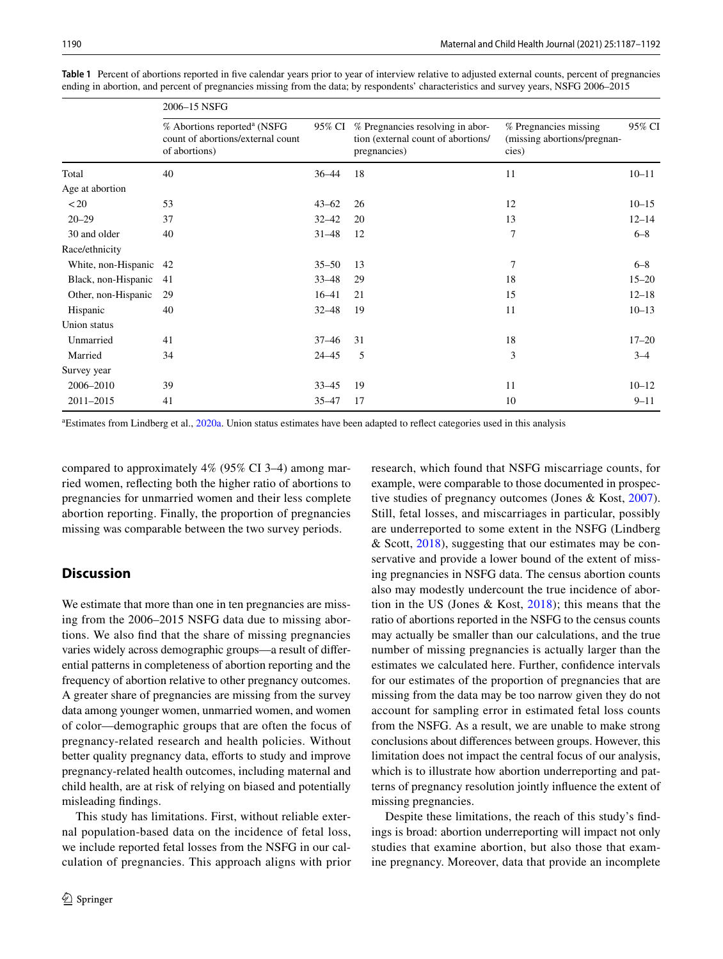|                        | 2006–15 NSFG                                                                                  |           |                                                                                        |                                                               |           |
|------------------------|-----------------------------------------------------------------------------------------------|-----------|----------------------------------------------------------------------------------------|---------------------------------------------------------------|-----------|
|                        | % Abortions reported <sup>a</sup> (NSFG<br>count of abortions/external count<br>of abortions) | 95% CI    | % Pregnancies resolving in abor-<br>tion (external count of abortions/<br>pregnancies) | % Pregnancies missing<br>(missing abortions/pregnan-<br>cies) | 95% CI    |
| Total                  | 40                                                                                            | $36 - 44$ | 18                                                                                     | 11                                                            | $10 - 11$ |
| Age at abortion        |                                                                                               |           |                                                                                        |                                                               |           |
| < 20                   | 53                                                                                            | $43 - 62$ | 26                                                                                     | 12                                                            | $10 - 15$ |
| $20 - 29$              | 37                                                                                            | $32 - 42$ | 20                                                                                     | 13                                                            | $12 - 14$ |
| 30 and older           | 40                                                                                            | $31 - 48$ | 12                                                                                     | $\overline{7}$                                                | $6 - 8$   |
| Race/ethnicity         |                                                                                               |           |                                                                                        |                                                               |           |
| White, non-Hispanic 42 |                                                                                               | $35 - 50$ | 13                                                                                     | $\overline{7}$                                                | $6 - 8$   |
| Black, non-Hispanic    | 41                                                                                            | $33 - 48$ | 29                                                                                     | 18                                                            | $15 - 20$ |
| Other, non-Hispanic    | 29                                                                                            | $16 - 41$ | 21                                                                                     | 15                                                            | $12 - 18$ |
| Hispanic               | 40                                                                                            | $32 - 48$ | 19                                                                                     | 11                                                            | $10 - 13$ |
| Union status           |                                                                                               |           |                                                                                        |                                                               |           |
| Unmarried              | 41                                                                                            | $37 - 46$ | 31                                                                                     | 18                                                            | $17 - 20$ |
| Married                | 34                                                                                            | $24 - 45$ | 5                                                                                      | 3                                                             | $3 - 4$   |
| Survey year            |                                                                                               |           |                                                                                        |                                                               |           |
| 2006-2010              | 39                                                                                            | $33 - 45$ | 19                                                                                     | 11                                                            | $10 - 12$ |
| 2011-2015              | 41                                                                                            | 35–47     | 17                                                                                     | 10                                                            | $9 - 11$  |

<span id="page-3-0"></span>**Table 1** Percent of abortions reported in fve calendar years prior to year of interview relative to adjusted external counts, percent of pregnancies ending in abortion, and percent of pregnancies missing from the data; by respondents' characteristics and survey years, NSFG 2006–2015

<sup>a</sup> Estimates from Lindberg et al., [2020a](#page-5-6). Union status estimates have been adapted to reflect categories used in this analysis

compared to approximately 4% (95% CI 3–4) among married women, refecting both the higher ratio of abortions to pregnancies for unmarried women and their less complete abortion reporting. Finally, the proportion of pregnancies missing was comparable between the two survey periods.

# **Discussion**

We estimate that more than one in ten pregnancies are missing from the 2006–2015 NSFG data due to missing abortions. We also fnd that the share of missing pregnancies varies widely across demographic groups—a result of diferential patterns in completeness of abortion reporting and the frequency of abortion relative to other pregnancy outcomes. A greater share of pregnancies are missing from the survey data among younger women, unmarried women, and women of color—demographic groups that are often the focus of pregnancy-related research and health policies. Without better quality pregnancy data, efforts to study and improve pregnancy-related health outcomes, including maternal and child health, are at risk of relying on biased and potentially misleading fndings.

This study has limitations. First, without reliable external population-based data on the incidence of fetal loss, we include reported fetal losses from the NSFG in our calculation of pregnancies. This approach aligns with prior research, which found that NSFG miscarriage counts, for example, were comparable to those documented in prospective studies of pregnancy outcomes (Jones & Kost, [2007](#page-5-5)). Still, fetal losses, and miscarriages in particular, possibly are underreported to some extent in the NSFG (Lindberg & Scott, [2018](#page-5-11)), suggesting that our estimates may be conservative and provide a lower bound of the extent of missing pregnancies in NSFG data. The census abortion counts also may modestly undercount the true incidence of abortion in the US (Jones & Kost, [2018](#page-5-16)); this means that the ratio of abortions reported in the NSFG to the census counts may actually be smaller than our calculations, and the true number of missing pregnancies is actually larger than the estimates we calculated here. Further, confdence intervals for our estimates of the proportion of pregnancies that are missing from the data may be too narrow given they do not account for sampling error in estimated fetal loss counts from the NSFG. As a result, we are unable to make strong conclusions about diferences between groups. However, this limitation does not impact the central focus of our analysis, which is to illustrate how abortion underreporting and patterns of pregnancy resolution jointly infuence the extent of missing pregnancies.

Despite these limitations, the reach of this study's fndings is broad: abortion underreporting will impact not only studies that examine abortion, but also those that examine pregnancy. Moreover, data that provide an incomplete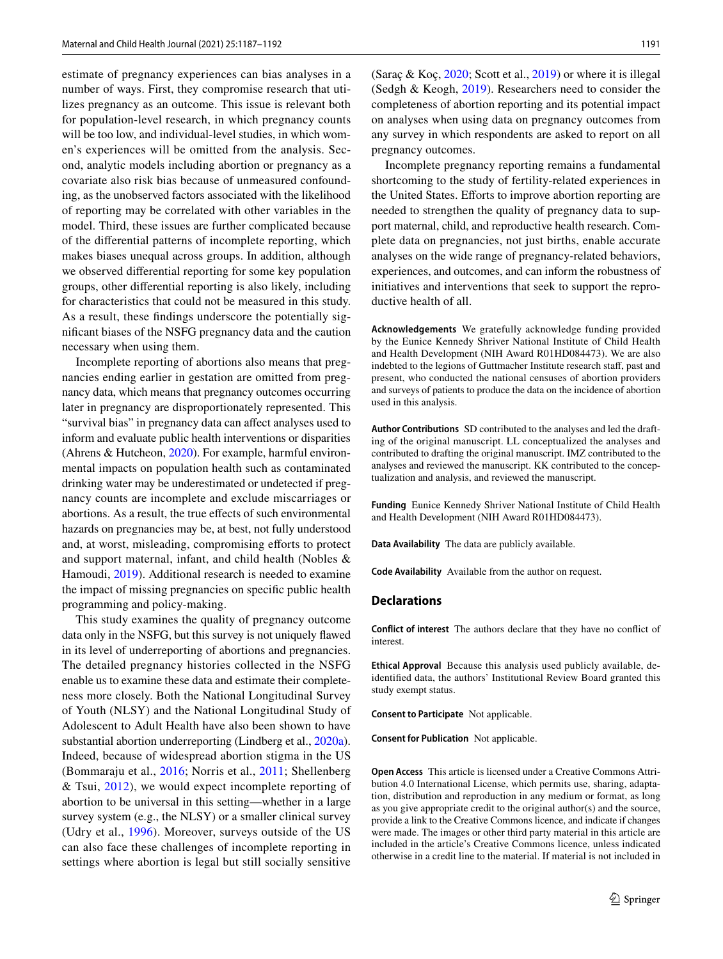estimate of pregnancy experiences can bias analyses in a number of ways. First, they compromise research that utilizes pregnancy as an outcome. This issue is relevant both for population-level research, in which pregnancy counts will be too low, and individual-level studies, in which women's experiences will be omitted from the analysis. Second, analytic models including abortion or pregnancy as a covariate also risk bias because of unmeasured confounding, as the unobserved factors associated with the likelihood of reporting may be correlated with other variables in the model. Third, these issues are further complicated because of the diferential patterns of incomplete reporting, which makes biases unequal across groups. In addition, although we observed diferential reporting for some key population groups, other diferential reporting is also likely, including for characteristics that could not be measured in this study. As a result, these fndings underscore the potentially signifcant biases of the NSFG pregnancy data and the caution necessary when using them.

Incomplete reporting of abortions also means that pregnancies ending earlier in gestation are omitted from pregnancy data, which means that pregnancy outcomes occurring later in pregnancy are disproportionately represented. This "survival bias" in pregnancy data can affect analyses used to inform and evaluate public health interventions or disparities (Ahrens & Hutcheon, [2020\)](#page-5-20). For example, harmful environmental impacts on population health such as contaminated drinking water may be underestimated or undetected if pregnancy counts are incomplete and exclude miscarriages or abortions. As a result, the true effects of such environmental hazards on pregnancies may be, at best, not fully understood and, at worst, misleading, compromising efforts to protect and support maternal, infant, and child health (Nobles & Hamoudi, [2019\)](#page-5-21). Additional research is needed to examine the impact of missing pregnancies on specifc public health programming and policy-making.

This study examines the quality of pregnancy outcome data only in the NSFG, but this survey is not uniquely fawed in its level of underreporting of abortions and pregnancies. The detailed pregnancy histories collected in the NSFG enable us to examine these data and estimate their completeness more closely. Both the National Longitudinal Survey of Youth (NLSY) and the National Longitudinal Study of Adolescent to Adult Health have also been shown to have substantial abortion underreporting (Lindberg et al., [2020a](#page-5-6)). Indeed, because of widespread abortion stigma in the US (Bommaraju et al., [2016](#page-5-22); Norris et al., [2011](#page-5-23); Shellenberg & Tsui, [2012\)](#page-5-1), we would expect incomplete reporting of abortion to be universal in this setting—whether in a large survey system (e.g., the NLSY) or a smaller clinical survey (Udry et al., [1996](#page-5-24)). Moreover, surveys outside of the US can also face these challenges of incomplete reporting in settings where abortion is legal but still socially sensitive

(Saraç & Koç, [2020](#page-5-25); Scott et al., [2019\)](#page-5-26) or where it is illegal (Sedgh & Keogh, [2019](#page-5-27)). Researchers need to consider the completeness of abortion reporting and its potential impact on analyses when using data on pregnancy outcomes from any survey in which respondents are asked to report on all pregnancy outcomes.

Incomplete pregnancy reporting remains a fundamental shortcoming to the study of fertility-related experiences in the United States. Efforts to improve abortion reporting are needed to strengthen the quality of pregnancy data to support maternal, child, and reproductive health research. Complete data on pregnancies, not just births, enable accurate analyses on the wide range of pregnancy-related behaviors, experiences, and outcomes, and can inform the robustness of initiatives and interventions that seek to support the reproductive health of all.

**Acknowledgements** We gratefully acknowledge funding provided by the Eunice Kennedy Shriver National Institute of Child Health and Health Development (NIH Award R01HD084473). We are also indebted to the legions of Guttmacher Institute research staf, past and present, who conducted the national censuses of abortion providers and surveys of patients to produce the data on the incidence of abortion used in this analysis.

**Author Contributions** SD contributed to the analyses and led the drafting of the original manuscript. LL conceptualized the analyses and contributed to drafting the original manuscript. IMZ contributed to the analyses and reviewed the manuscript. KK contributed to the conceptualization and analysis, and reviewed the manuscript.

**Funding** Eunice Kennedy Shriver National Institute of Child Health and Health Development (NIH Award R01HD084473).

**Data Availability** The data are publicly available.

**Code Availability** Available from the author on request.

## **Declarations**

**Conflict of interest** The authors declare that they have no confict of interest.

**Ethical Approval** Because this analysis used publicly available, deidentifed data, the authors' Institutional Review Board granted this study exempt status.

**Consent to Participate** Not applicable.

**Consent for Publication** Not applicable.

**Open Access** This article is licensed under a Creative Commons Attribution 4.0 International License, which permits use, sharing, adaptation, distribution and reproduction in any medium or format, as long as you give appropriate credit to the original author(s) and the source, provide a link to the Creative Commons licence, and indicate if changes were made. The images or other third party material in this article are included in the article's Creative Commons licence, unless indicated otherwise in a credit line to the material. If material is not included in